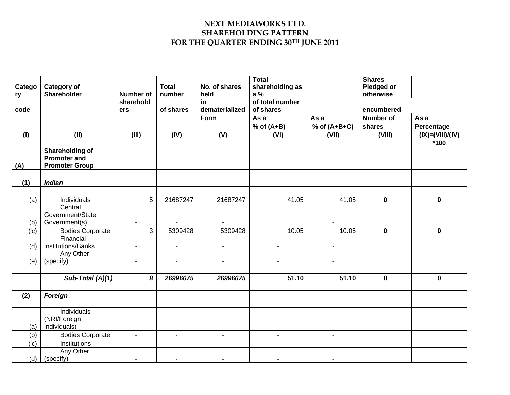## **NEXT MEDIAWORKS LTD. SHAREHOLDING PATTERN FOR THE QUARTER ENDING 30TH JUNE 2011**

| Catego<br>ry | <b>Category of</b><br><b>Shareholder</b>                        | <b>Number of</b>         | <b>Total</b><br>number | No. of shares<br>held | <b>Total</b><br>shareholding as<br>a % |                         | <b>Shares</b><br>Pledged or<br>otherwise |                                          |
|--------------|-----------------------------------------------------------------|--------------------------|------------------------|-----------------------|----------------------------------------|-------------------------|------------------------------------------|------------------------------------------|
| code         |                                                                 | sharehold<br>ers         | of shares              | in<br>dematerialized  | of total number<br>of shares           |                         | encumbered                               |                                          |
|              |                                                                 |                          |                        | Form                  | As a                                   | As a                    | <b>Number of</b>                         | As a                                     |
| (1)          | (II)                                                            | (III)                    | (IV)                   | (V)                   | $%$ of $(A+B)$<br>(VI)                 | $%$ of (A+B+C)<br>(VII) | shares<br>(VIII)                         | Percentage<br>$(IX)=(VIII)/(IV)$<br>*100 |
| (A)          | <b>Shareholding of</b><br>Promoter and<br><b>Promoter Group</b> |                          |                        |                       |                                        |                         |                                          |                                          |
| (1)          | <b>Indian</b>                                                   |                          |                        |                       |                                        |                         |                                          |                                          |
|              |                                                                 |                          |                        |                       |                                        |                         |                                          |                                          |
| (a)          | Individuals<br>Central                                          | 5                        | 21687247               | 21687247              | 41.05                                  | 41.05                   | $\mathbf 0$                              | $\mathbf 0$                              |
|              | Government/State                                                |                          |                        |                       |                                        |                         |                                          |                                          |
| (b)          | Government(s)                                                   |                          |                        | $\sim$                |                                        |                         |                                          |                                          |
| ('c)         | <b>Bodies Corporate</b>                                         | 3                        | 5309428                | 5309428               | 10.05                                  | 10.05                   | $\mathbf 0$                              | $\mathbf 0$                              |
|              | Financial                                                       |                          |                        |                       |                                        |                         |                                          |                                          |
| (d)          | Institutions/Banks                                              | $\blacksquare$           | $\blacksquare$         | $\blacksquare$        | $\blacksquare$                         | $\blacksquare$          |                                          |                                          |
|              | Any Other                                                       |                          |                        |                       |                                        |                         |                                          |                                          |
| (e)          | (specify)                                                       | $\overline{\phantom{a}}$ | $\blacksquare$         | $\sim$                |                                        | $\blacksquare$          |                                          |                                          |
|              |                                                                 |                          |                        |                       |                                        |                         |                                          |                                          |
|              | Sub-Total (A)(1)                                                | 8                        | 26996675               | 26996675              | 51.10                                  | 51.10                   | $\mathbf 0$                              | $\mathbf 0$                              |
|              |                                                                 |                          |                        |                       |                                        |                         |                                          |                                          |
| (2)          | Foreign                                                         |                          |                        |                       |                                        |                         |                                          |                                          |
|              | Individuals<br>(NRI/Foreign                                     |                          |                        |                       |                                        |                         |                                          |                                          |
| (a)          | Individuals)                                                    |                          | ٠                      |                       |                                        |                         |                                          |                                          |
| (b)          | <b>Bodies Corporate</b>                                         | $\blacksquare$           | $\blacksquare$         | $\sim$                | $\blacksquare$                         | $\sim$                  |                                          |                                          |
| ('c)         | Institutions                                                    | $\blacksquare$           |                        |                       |                                        |                         |                                          |                                          |
|              | Any Other                                                       |                          |                        |                       |                                        |                         |                                          |                                          |
| (d)          | (specify)                                                       |                          |                        |                       |                                        |                         |                                          |                                          |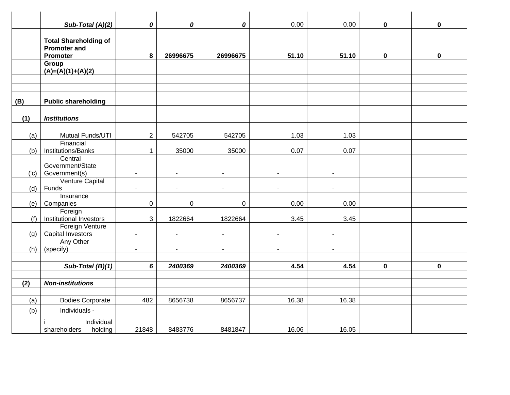|      | Sub-Total (A)(2)                                                       | 0              | 0           | 0        | 0.00  | 0.00  | $\mathbf 0$ | $\mathbf 0$ |
|------|------------------------------------------------------------------------|----------------|-------------|----------|-------|-------|-------------|-------------|
|      |                                                                        |                |             |          |       |       |             |             |
|      | <b>Total Shareholding of</b><br><b>Promoter and</b><br><b>Promoter</b> | 8              | 26996675    | 26996675 | 51.10 | 51.10 | 0           | $\mathbf 0$ |
|      | Group<br>$(A)=(A)(1)+(A)(2)$                                           |                |             |          |       |       |             |             |
|      |                                                                        |                |             |          |       |       |             |             |
| (B)  | <b>Public shareholding</b>                                             |                |             |          |       |       |             |             |
| (1)  | <b>Institutions</b>                                                    |                |             |          |       |       |             |             |
|      |                                                                        |                |             |          |       |       |             |             |
| (a)  | Mutual Funds/UTI                                                       | $\overline{2}$ | 542705      | 542705   | 1.03  | 1.03  |             |             |
|      | Financial                                                              |                |             |          |       |       |             |             |
| (b)  | Institutions/Banks                                                     | $\mathbf 1$    | 35000       | 35000    | 0.07  | 0.07  |             |             |
|      | Central<br>Government/State                                            |                |             |          |       |       |             |             |
| ('c) | Government(s)                                                          |                |             |          |       |       |             |             |
|      | Venture Capital                                                        |                |             |          |       |       |             |             |
| (d)  | Funds                                                                  |                |             |          |       |       |             |             |
|      | Insurance                                                              |                |             |          |       |       |             |             |
| (e)  | Companies                                                              | $\pmb{0}$      | $\mathbf 0$ | 0        | 0.00  | 0.00  |             |             |
| (f)  | Foreign<br>Institutional Investors                                     | 3              | 1822664     | 1822664  | 3.45  | 3.45  |             |             |
|      | Foreign Venture                                                        |                |             |          |       |       |             |             |
| (q)  | Capital Investors                                                      |                |             |          |       |       |             |             |
|      | Any Other                                                              |                |             |          |       |       |             |             |
| (h)  | (specify)                                                              | $\blacksquare$ | ÷.          |          |       |       |             |             |
|      | Sub-Total (B)(1)                                                       | 6              | 2400369     | 2400369  | 4.54  | 4.54  | $\mathbf 0$ | $\mathbf 0$ |
|      |                                                                        |                |             |          |       |       |             |             |
| (2)  | <b>Non-institutions</b>                                                |                |             |          |       |       |             |             |
|      |                                                                        |                |             |          |       |       |             |             |
| (a)  | <b>Bodies Corporate</b>                                                | 482            | 8656738     | 8656737  | 16.38 | 16.38 |             |             |
| (b)  | Individuals -                                                          |                |             |          |       |       |             |             |
|      | Individual<br>shareholders<br>holding                                  | 21848          | 8483776     | 8481847  | 16.06 | 16.05 |             |             |